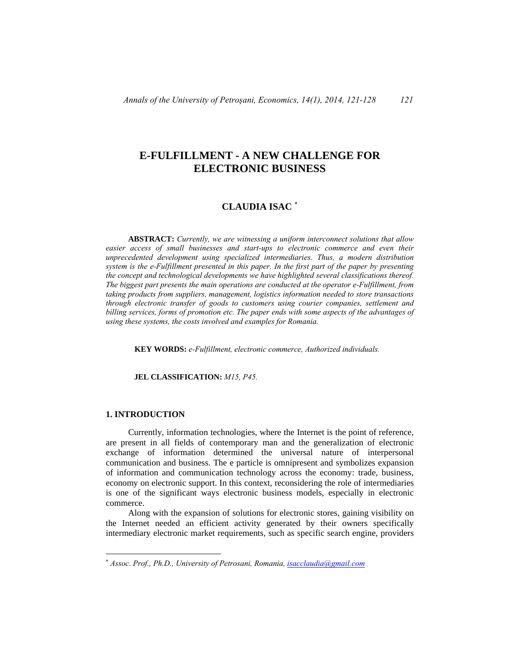# **E-FULFILLMENT - A NEW CHALLENGE FOR ELECTRONIC BUSINESS**

# **CLAUDIA ISAC** <sup>∗</sup>

 **ABSTRACT:** *Currently, we are witnessing a uniform interconnect solutions that allow easier access of small businesses and start-ups to electronic commerce and even their unprecedented development using specialized intermediaries. Thus, a modern distribution system is the e-Fulfillment presented in this paper. In the first part of the paper by presenting the concept and technological developments we have highlighted several classifications thereof. The biggest part presents the main operations are conducted at the operator e-Fulfillment, from taking products from suppliers, management, logistics information needed to store transactions through electronic transfer of goods to customers using courier companies, settlement and billing services, forms of promotion etc. The paper ends with some aspects of the advantages of using these systems, the costs involved and examples for Romania.* 

**KEY WORDS:** *e-Fulfillment, electronic commerce, Authorized individuals.* 

**JEL CLASSIFICATION:** *M15, P45.* 

### **1. INTRODUCTION**

 $\overline{a}$ 

 Currently, information technologies, where the Internet is the point of reference, are present in all fields of contemporary man and the generalization of electronic exchange of information determined the universal nature of interpersonal communication and business. The e particle is omnipresent and symbolizes expansion of information and communication technology across the economy: trade, business, economy on electronic support. In this context, reconsidering the role of intermediaries is one of the significant ways electronic business models, especially in electronic commerce.

 Along with the expansion of solutions for electronic stores, gaining visibility on the Internet needed an efficient activity generated by their owners specifically intermediary electronic market requirements, such as specific search engine, providers

<sup>∗</sup> *Assoc. Prof., Ph.D., University of Petrosani, Romania, isacclaudia@gmail.com*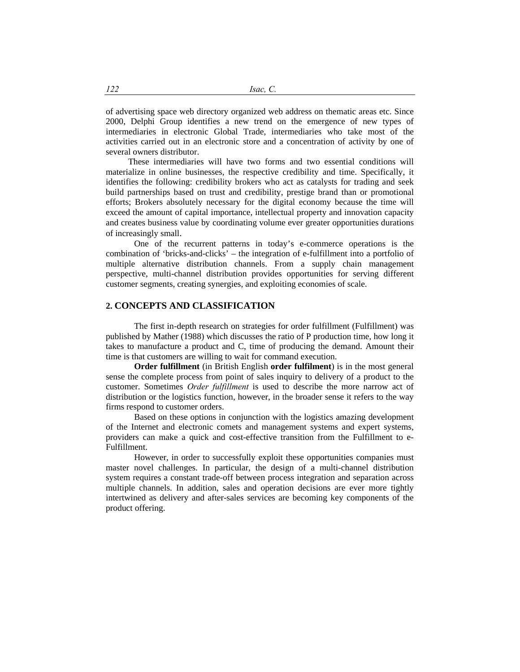of advertising space web directory organized web address on thematic areas etc. Since 2000, Delphi Group identifies a new trend on the emergence of new types of intermediaries in electronic Global Trade, intermediaries who take most of the activities carried out in an electronic store and a concentration of activity by one of several owners distributor.

 These intermediaries will have two forms and two essential conditions will materialize in online businesses, the respective credibility and time. Specifically, it identifies the following: credibility brokers who act as catalysts for trading and seek build partnerships based on trust and credibility, prestige brand than or promotional efforts; Brokers absolutely necessary for the digital economy because the time will exceed the amount of capital importance, intellectual property and innovation capacity and creates business value by coordinating volume ever greater opportunities durations of increasingly small.

 One of the recurrent patterns in today's e-commerce operations is the combination of 'bricks-and-clicks' – the integration of e-fulfillment into a portfolio of multiple alternative distribution channels. From a supply chain management perspective, multi-channel distribution provides opportunities for serving different customer segments, creating synergies, and exploiting economies of scale.

# **2. CONCEPTS AND CLASSIFICATION**

 The first in-depth research on strategies for order fulfillment (Fulfillment) was published by Mather (1988) which discusses the ratio of P production time, how long it takes to manufacture a product and C, time of producing the demand. Amount their time is that customers are willing to wait for command execution.

 **Order fulfillment** (in British English **order fulfilment**) is in the most general sense the complete process from point of sales inquiry to delivery of a product to the customer. Sometimes *Order fulfillment* is used to describe the more narrow act of distribution or the logistics function, however, in the broader sense it refers to the way firms respond to customer orders.

 Based on these options in conjunction with the logistics amazing development of the Internet and electronic comets and management systems and expert systems, providers can make a quick and cost-effective transition from the Fulfillment to e-Fulfillment.

 However, in order to successfully exploit these opportunities companies must master novel challenges. In particular, the design of a multi-channel distribution system requires a constant trade-off between process integration and separation across multiple channels. In addition, sales and operation decisions are ever more tightly intertwined as delivery and after-sales services are becoming key components of the product offering.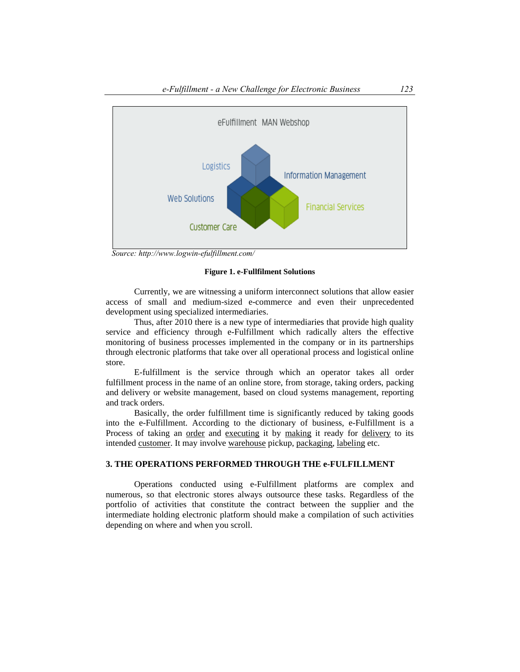

 *Source: http://www.logwin-efulfillment.com/* 

### **Figure 1. e-Fullfilment Solutions**

 Currently, we are witnessing a uniform interconnect solutions that allow easier access of small and medium-sized e-commerce and even their unprecedented development using specialized intermediaries.

 Thus, after 2010 there is a new type of intermediaries that provide high quality service and efficiency through e-Fulfillment which radically alters the effective monitoring of business processes implemented in the company or in its partnerships through electronic platforms that take over all operational process and logistical online store.

 E-fulfillment is the service through which an operator takes all order fulfillment process in the name of an online store, from storage, taking orders, packing and delivery or website management, based on cloud systems management, reporting and track orders.

 Basically, the order fulfillment time is significantly reduced by taking goods into the e-Fulfillment. According to the dictionary of business, e-Fulfillment is a Process of taking an <u>order</u> and executing it by making it ready for delivery to its intended customer. It may involve warehouse pickup, packaging, labeling etc.

# **3. THE OPERATIONS PERFORMED THROUGH THE e-FULFILLMENT**

 Operations conducted using e-Fulfillment platforms are complex and numerous, so that electronic stores always outsource these tasks. Regardless of the portfolio of activities that constitute the contract between the supplier and the intermediate holding electronic platform should make a compilation of such activities depending on where and when you scroll.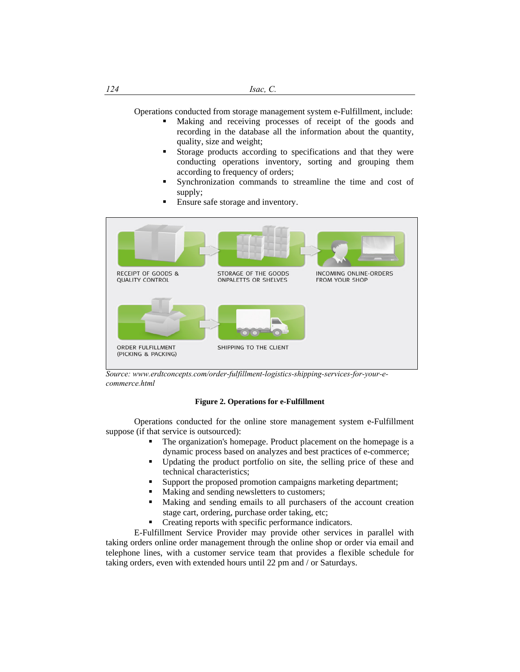Operations conducted from storage management system e-Fulfillment, include:

- Making and receiving processes of receipt of the goods and recording in the database all the information about the quantity, quality, size and weight;
- Storage products according to specifications and that they were conducting operations inventory, sorting and grouping them according to frequency of orders;
- Synchronization commands to streamline the time and cost of supply;
- **Ensure safe storage and inventory.**



*Source: www.erdtconcepts.com/order-fulfillment-logistics-shipping-services-for-your-ecommerce.html* 

## **Figure 2. Operations for e-Fulfillment**

 Operations conducted for the online store management system e-Fulfillment suppose (if that service is outsourced):

- The organization's homepage. Product placement on the homepage is a dynamic process based on analyzes and best practices of e-commerce;
- Updating the product portfolio on site, the selling price of these and technical characteristics;
- Support the proposed promotion campaigns marketing department;
- Making and sending newsletters to customers;
- Making and sending emails to all purchasers of the account creation stage cart, ordering, purchase order taking, etc;
- Creating reports with specific performance indicators.

 E-Fulfillment Service Provider may provide other services in parallel with taking orders online order management through the online shop or order via email and telephone lines, with a customer service team that provides a flexible schedule for taking orders, even with extended hours until 22 pm and / or Saturdays.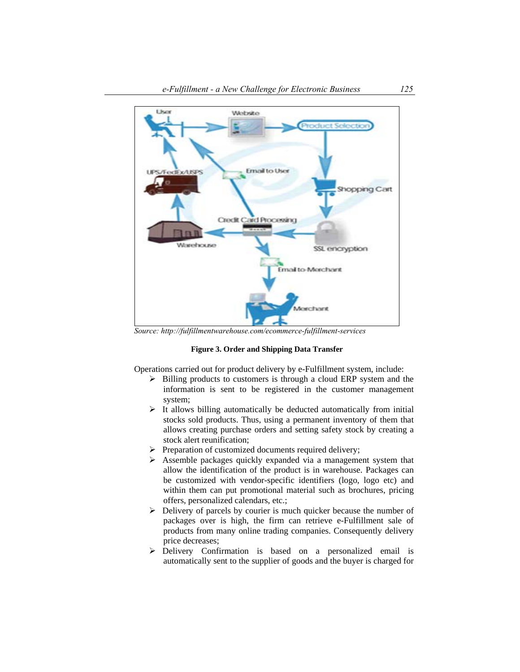

 *Source: http://fulfillmentwarehouse.com/ecommerce-fulfillment-services* 

#### **Figure 3. Order and Shipping Data Transfer**

Operations carried out for product delivery by e-Fulfillment system, include:

- $\triangleright$  Billing products to customers is through a cloud ERP system and the information is sent to be registered in the customer management system;
- $\triangleright$  It allows billing automatically be deducted automatically from initial stocks sold products. Thus, using a permanent inventory of them that allows creating purchase orders and setting safety stock by creating a stock alert reunification;
- $\triangleright$  Preparation of customized documents required delivery;
- $\triangleright$  Assemble packages quickly expanded via a management system that allow the identification of the product is in warehouse. Packages can be customized with vendor-specific identifiers (logo, logo etc) and within them can put promotional material such as brochures, pricing offers, personalized calendars, etc.;
- $\triangleright$  Delivery of parcels by courier is much quicker because the number of packages over is high, the firm can retrieve e-Fulfillment sale of products from many online trading companies. Consequently delivery price decreases;
- ¾ Delivery Confirmation is based on a personalized email is automatically sent to the supplier of goods and the buyer is charged for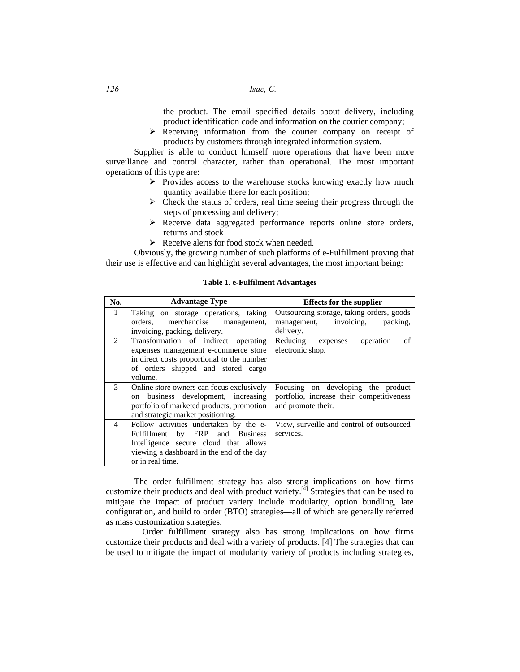the product. The email specified details about delivery, including product identification code and information on the courier company;

 $\triangleright$  Receiving information from the courier company on receipt of products by customers through integrated information system.

 Supplier is able to conduct himself more operations that have been more surveillance and control character, rather than operational. The most important operations of this type are:

- $\triangleright$  Provides access to the warehouse stocks knowing exactly how much quantity available there for each position;
- $\triangleright$  Check the status of orders, real time seeing their progress through the steps of processing and delivery;
- $\triangleright$  Receive data aggregated performance reports online store orders, returns and stock
- $\triangleright$  Receive alerts for food stock when needed.

 Obviously, the growing number of such platforms of e-Fulfillment proving that their use is effective and can highlight several advantages, the most important being:

#### **No.** | **Advantage Type** | **Effects for the supplier** 1 Taking on storage operations, taking orders, merchandise management, invoicing, packing, delivery. Outsourcing storage, taking orders, goods management, invoicing, packing, delivery. 2 Transformation of indirect operating expenses management e-commerce store in direct costs proportional to the number of orders shipped and stored cargo volume. Reducing expenses operation of electronic shop. 3 Online store owners can focus exclusively on business development, increasing portfolio of marketed products, promotion and strategic market positioning. Focusing on developing the product portfolio, increase their competitiveness and promote their. 4 Follow activities undertaken by the e-Fulfillment by ERP and Business Intelligence secure cloud that allows viewing a dashboard in the end of the day or in real time. View, surveille and control of outsourced services.

### **Table 1. e-Fulfilment Advantages**

 The order fulfillment strategy has also strong implications on how firms customize their products and deal with product variety.<sup>[4]</sup> Strategies that can be used to mitigate the impact of product variety include modularity, option bundling, late configuration, and build to order (BTO) strategies—all of which are generally referred as mass customization strategies.

 Order fulfillment strategy also has strong implications on how firms customize their products and deal with a variety of products. [4] The strategies that can be used to mitigate the impact of modularity variety of products including strategies,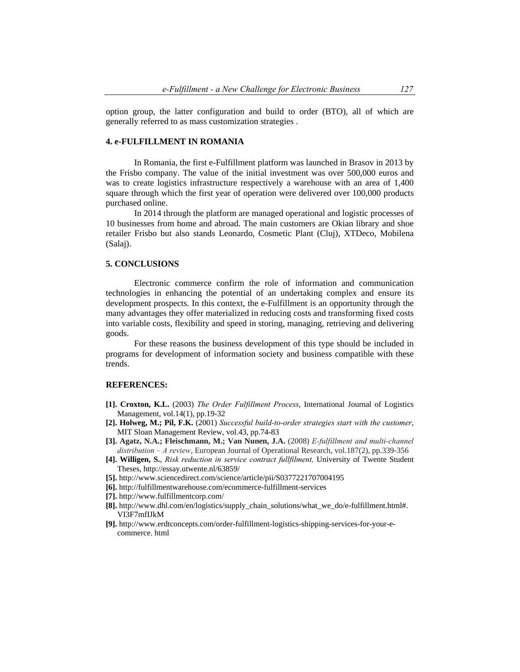option group, the latter configuration and build to order (BTO), all of which are generally referred to as mass customization strategies .

## **4. e-FULFILLMENT IN ROMANIA**

 In Romania, the first e-Fulfillment platform was launched in Brasov in 2013 by the Frisbo company. The value of the initial investment was over 500,000 euros and was to create logistics infrastructure respectively a warehouse with an area of 1,400 square through which the first year of operation were delivered over 100,000 products purchased online.

 In 2014 through the platform are managed operational and logistic processes of 10 businesses from home and abroad. The main customers are Okian library and shoe retailer Frisbo but also stands Leonardo, Cosmetic Plant (Cluj), XTDeco, Mobilena (Salaj).

### **5. CONCLUSIONS**

 Electronic commerce confirm the role of information and communication technologies in enhancing the potential of an undertaking complex and ensure its development prospects. In this context, the e-Fulfillment is an opportunity through the many advantages they offer materialized in reducing costs and transforming fixed costs into variable costs, flexibility and speed in storing, managing, retrieving and delivering goods.

 For these reasons the business development of this type should be included in programs for development of information society and business compatible with these trends.

#### **REFERENCES:**

- **[1]. Croxton, K.L.** (2003) *The Order Fulfillment Process*, International Journal of Logistics Management, vol.14(1), pp.19-32
- **[2]. Holweg, M.; Pil, F.K.** (2001) *Successful build-to-order strategies start with the customer*, MIT Sloan Management Review, vol.43, pp.74-83
- **[3]. Agatz, N.A.; Fleischmann, M.; Van Nunen, J.A.** (2008) *E-fulfillment and multi-channel distribution – A review*, European Journal of Operational Research, vol.187(2), pp.339-356
- **[4]. Willigen, S.**, *Risk reduction in service contract fullfilment,* University of Twente Student Theses, http://essay.utwente.nl/63859/
- **[5].** http://www.sciencedirect.com/science/article/pii/S0377221707004195
- **[6].** http://fulfillmentwarehouse.com/ecommerce-fulfillment-services
- **[7].** http://www.fulfillmentcorp.com/
- **[8].** http://www.dhl.com/en/logistics/supply\_chain\_solutions/what\_we\_do/e-fulfillment.html#. VI3F7mfIJkM
- **[9].** http://www.erdtconcepts.com/order-fulfillment-logistics-shipping-services-for-your-ecommerce. html